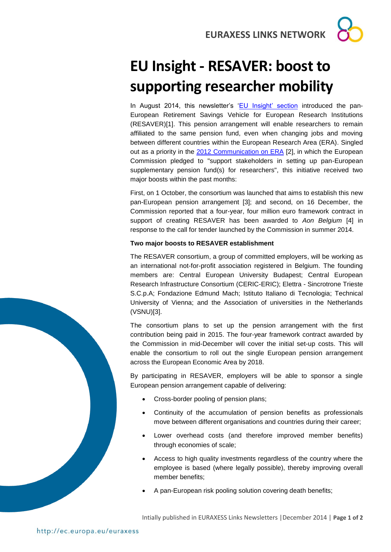**EURAXESS LINKS NETWORK**

## **EU Insight - RESAVER: boost to supporting researcher mobility**

In August 2014, this newsletter's ['EU Insight' section](http://bit.ly/Brazilnewsletter_august2014) introduced the pan-European Retirement Savings Vehicle for European Research Institutions (RESAVER)[1]. This pension arrangement will enable researchers to remain affiliated to the same pension fund, even when changing jobs and moving between different countries within the European Research Area (ERA). Singled out as a priority in the [2012 Communication on ERA](http://ec.europa.eu/euraxess/pdf/research_policies/era-communication_en.pdf) [2], in which the European Commission pledged to "support stakeholders in setting up pan-European supplementary pension fund(s) for researchers", this initiative received two major boosts within the past months:

First, on 1 October, the consortium was launched that aims to establish this new pan-European pension arrangement [3]; and second, on 16 December, the Commission reported that a four-year, four million euro framework contract in support of creating RESAVER has been awarded to *Aon Belgium* [4] in response to the call for tender launched by the Commission in summer 2014.

## **Two major boosts to RESAVER establishment**

The RESAVER consortium, a group of committed employers, will be working as an international not-for-profit association registered in Belgium. The founding members are: Central European University Budapest; Central European Research Infrastructure Consortium (CERIC-ERIC); Elettra - Sincrotrone Trieste S.C.p.A; Fondazione Edmund Mach; Istituto Italiano di Tecnologia; Technical University of Vienna; and the Association of universities in the Netherlands (VSNU)[3].

The consortium plans to set up the pension arrangement with the first contribution being paid in 2015. The four-year framework contract awarded by the Commission in mid-December will cover the initial set-up costs. This will enable the consortium to roll out the single European pension arrangement across the European Economic Area by 2018.

By participating in RESAVER, employers will be able to sponsor a single European pension arrangement capable of delivering:

- Cross-border pooling of pension plans;
- Continuity of the accumulation of pension benefits as professionals move between different organisations and countries during their career;
- Lower overhead costs (and therefore improved member benefits) through economies of scale;
- Access to high quality investments regardless of the country where the employee is based (where legally possible), thereby improving overall member benefits;
- A pan-European risk pooling solution covering death benefits;